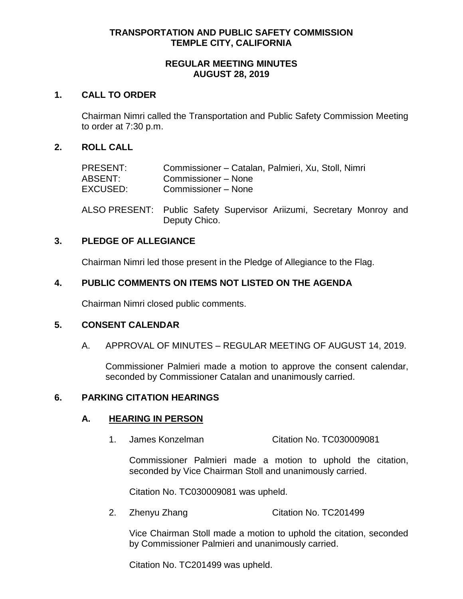# **TRANSPORTATION AND PUBLIC SAFETY COMMISSION TEMPLE CITY, CALIFORNIA**

## **REGULAR MEETING MINUTES AUGUST 28, 2019**

## **1. CALL TO ORDER**

Chairman Nimri called the Transportation and Public Safety Commission Meeting to order at 7:30 p.m.

## **2. ROLL CALL**

| PRESENT: | Commissioner - Catalan, Palmieri, Xu, Stoll, Nimri |
|----------|----------------------------------------------------|
| ABSENT:  | Commissioner – None                                |
| EXCUSED: | Commissioner – None                                |
|          |                                                    |

ALSO PRESENT: Public Safety Supervisor Ariizumi, Secretary Monroy and Deputy Chico.

## **3. PLEDGE OF ALLEGIANCE**

Chairman Nimri led those present in the Pledge of Allegiance to the Flag.

## **4. PUBLIC COMMENTS ON ITEMS NOT LISTED ON THE AGENDA**

Chairman Nimri closed public comments.

# **5. CONSENT CALENDAR**

A. APPROVAL OF MINUTES – REGULAR MEETING OF AUGUST 14, 2019.

Commissioner Palmieri made a motion to approve the consent calendar, seconded by Commissioner Catalan and unanimously carried.

## **6. PARKING CITATION HEARINGS**

#### **A. HEARING IN PERSON**

1. James Konzelman Citation No. TC030009081

Commissioner Palmieri made a motion to uphold the citation, seconded by Vice Chairman Stoll and unanimously carried.

Citation No. TC030009081 was upheld.

2. Zhenyu Zhang Citation No. TC201499

Vice Chairman Stoll made a motion to uphold the citation, seconded by Commissioner Palmieri and unanimously carried.

Citation No. TC201499 was upheld.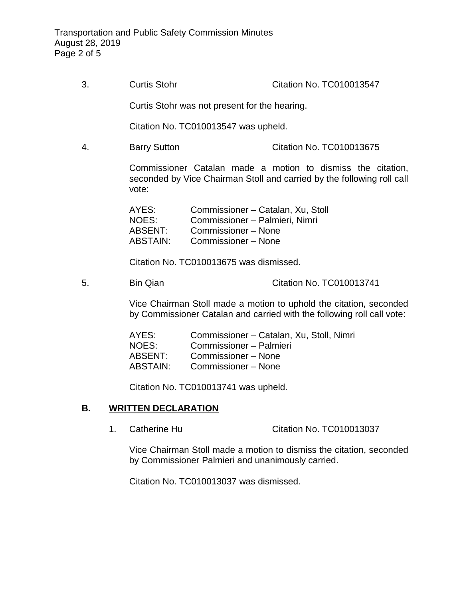3. Curtis Stohr Citation No. TC010013547

Curtis Stohr was not present for the hearing.

Citation No. TC010013547 was upheld.

4. Barry Sutton Citation No. TC010013675

Commissioner Catalan made a motion to dismiss the citation, seconded by Vice Chairman Stoll and carried by the following roll call vote:

| AYES:    | Commissioner - Catalan, Xu, Stoll |
|----------|-----------------------------------|
| NOES:    | Commissioner - Palmieri, Nimri    |
| ABSENT:  | Commissioner - None               |
| ABSTAIN: | Commissioner – None               |

Citation No. TC010013675 was dismissed.

5. Bin Qian Citation No. TC010013741

Vice Chairman Stoll made a motion to uphold the citation, seconded by Commissioner Catalan and carried with the following roll call vote:

AYES: Commissioner – Catalan, Xu, Stoll, Nimri NOES: Commissioner – Palmieri ABSENT: Commissioner – None ABSTAIN: Commissioner – None

Citation No. TC010013741 was upheld.

## **B. WRITTEN DECLARATION**

1. Catherine Hu Citation No. TC010013037

Vice Chairman Stoll made a motion to dismiss the citation, seconded by Commissioner Palmieri and unanimously carried.

Citation No. TC010013037 was dismissed.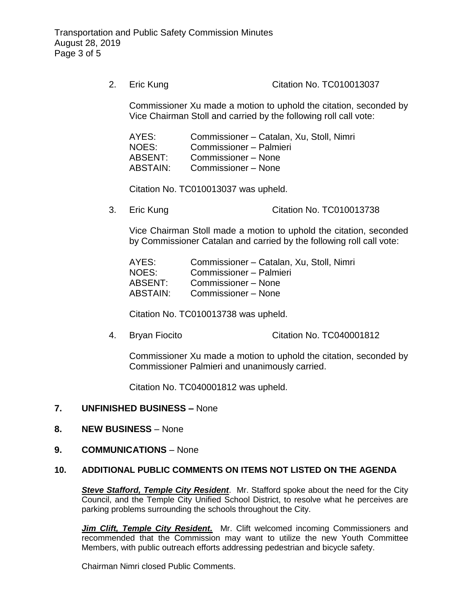2. Eric Kung Citation No. TC010013037

Commissioner Xu made a motion to uphold the citation, seconded by Vice Chairman Stoll and carried by the following roll call vote:

AYES: Commissioner – Catalan, Xu, Stoll, Nimri NOES: Commissioner – Palmieri ABSENT: Commissioner – None ABSTAIN: Commissioner – None

Citation No. TC010013037 was upheld.

3. Eric Kung Citation No. TC010013738

Vice Chairman Stoll made a motion to uphold the citation, seconded by Commissioner Catalan and carried by the following roll call vote:

AYES: Commissioner – Catalan, Xu, Stoll, Nimri NOES: Commissioner – Palmieri<br>ABSENT: Commissioner – None Commissioner – None ABSTAIN: Commissioner – None

Citation No. TC010013738 was upheld.

4. Bryan Fiocito Citation No. TC040001812

Commissioner Xu made a motion to uphold the citation, seconded by Commissioner Palmieri and unanimously carried.

Citation No. TC040001812 was upheld.

## **7. UNFINISHED BUSINESS –** None

- **8. NEW BUSINESS** None
- **9. COMMUNICATIONS** None

#### **10. ADDITIONAL PUBLIC COMMENTS ON ITEMS NOT LISTED ON THE AGENDA**

*Steve Stafford, Temple City Resident*. Mr. Stafford spoke about the need for the City Council, and the Temple City Unified School District, to resolve what he perceives are parking problems surrounding the schools throughout the City.

**Jim Clift, Temple City Resident.** Mr. Clift welcomed incoming Commissioners and recommended that the Commission may want to utilize the new Youth Committee Members, with public outreach efforts addressing pedestrian and bicycle safety.

Chairman Nimri closed Public Comments.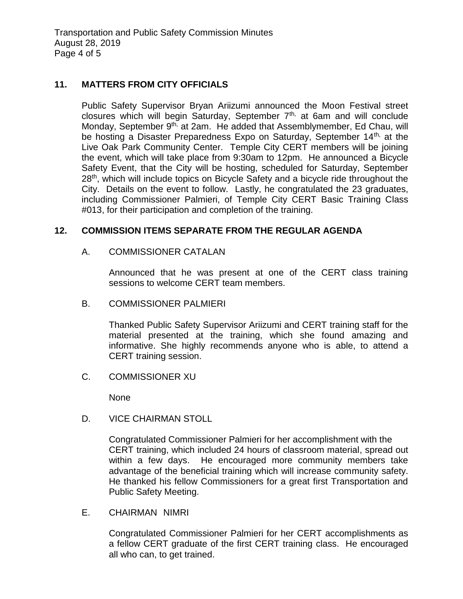Transportation and Public Safety Commission Minutes August 28, 2019 Page 4 of 5

## **11. MATTERS FROM CITY OFFICIALS**

Public Safety Supervisor Bryan Ariizumi announced the Moon Festival street closures which will begin Saturday, September  $7<sup>th</sup>$ , at 6am and will conclude Monday, September 9<sup>th,</sup> at 2am. He added that Assemblymember, Ed Chau, will be hosting a Disaster Preparedness Expo on Saturday, September 14<sup>th,</sup> at the Live Oak Park Community Center. Temple City CERT members will be joining the event, which will take place from 9:30am to 12pm. He announced a Bicycle Safety Event, that the City will be hosting, scheduled for Saturday, September 28<sup>th</sup>, which will include topics on Bicycle Safety and a bicycle ride throughout the City. Details on the event to follow. Lastly, he congratulated the 23 graduates, including Commissioner Palmieri, of Temple City CERT Basic Training Class #013, for their participation and completion of the training.

## **12. COMMISSION ITEMS SEPARATE FROM THE REGULAR AGENDA**

A. COMMISSIONER CATALAN

Announced that he was present at one of the CERT class training sessions to welcome CERT team members.

B. COMMISSIONER PALMIERI

Thanked Public Safety Supervisor Ariizumi and CERT training staff for the material presented at the training, which she found amazing and informative. She highly recommends anyone who is able, to attend a CERT training session.

C. COMMISSIONER XU

None

D. VICE CHAIRMAN STOLL

Congratulated Commissioner Palmieri for her accomplishment with the CERT training, which included 24 hours of classroom material, spread out within a few days. He encouraged more community members take advantage of the beneficial training which will increase community safety. He thanked his fellow Commissioners for a great first Transportation and Public Safety Meeting.

E. CHAIRMAN NIMRI

Congratulated Commissioner Palmieri for her CERT accomplishments as a fellow CERT graduate of the first CERT training class. He encouraged all who can, to get trained.